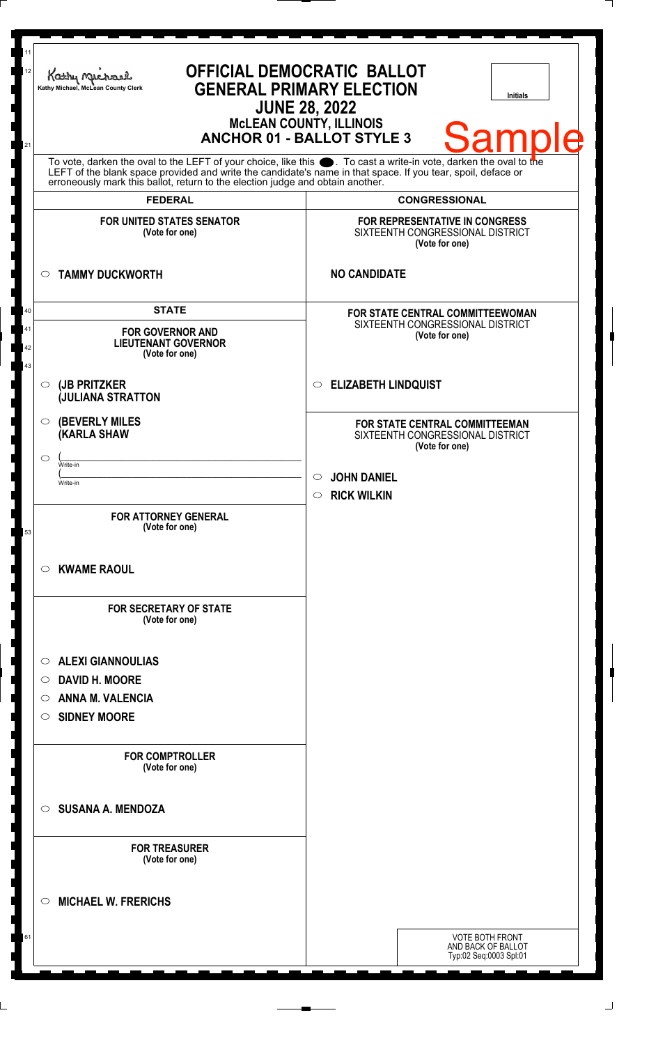| 11<br>12<br>21 | Kathy Mac<br>Kathy Michael, McLean County Clerk                                                                                                                                                                                                                                                                        | OFFICIAL DEMOCRATIC BALLOT<br><b>GENERAL PRIMARY ELECTION</b><br><b>Initials</b><br><b>JUNE 28, 2022</b><br><b>MCLEAN COUNTY, ILLINOIS</b><br>Samp<br><b>ANCHOR 01 - BALLOT STYLE 3</b> |
|----------------|------------------------------------------------------------------------------------------------------------------------------------------------------------------------------------------------------------------------------------------------------------------------------------------------------------------------|-----------------------------------------------------------------------------------------------------------------------------------------------------------------------------------------|
|                | To vote, darken the oval to the LEFT of your choice, like this $\bullet$ . To cast a write-in vote, darken the oval to the LEFT of the blank space provided and write the candidate's name in that space. If you tear, spoil, deface<br>erroneously mark this ballot, return to the election judge and obtain another. |                                                                                                                                                                                         |
|                | <b>FEDERAL</b>                                                                                                                                                                                                                                                                                                         | <b>CONGRESSIONAL</b>                                                                                                                                                                    |
|                | <b>FOR UNITED STATES SENATOR</b><br>(Vote for one)                                                                                                                                                                                                                                                                     | FOR REPRESENTATIVE IN CONGRESS<br>SIXTEENTH CONGRESSIONAL DISTRICT<br>(Vote for one)                                                                                                    |
|                | <b>TAMMY DUCKWORTH</b><br>$\circ$                                                                                                                                                                                                                                                                                      | <b>NO CANDIDATE</b>                                                                                                                                                                     |
| 40             | <b>STATE</b>                                                                                                                                                                                                                                                                                                           | FOR STATE CENTRAL COMMITTEEWOMAN                                                                                                                                                        |
| 41<br>42<br>43 | <b>FOR GOVERNOR AND</b><br><b>LIEUTENANT GOVERNOR</b><br>(Vote for one)                                                                                                                                                                                                                                                | SIXTEENTH CONGRESSIONAL DISTRICT<br>(Vote for one)                                                                                                                                      |
|                | (JB PRITZKER<br>$\circ$<br><b>JULIANA STRATTON</b>                                                                                                                                                                                                                                                                     | <b>ELIZABETH LINDQUIST</b><br>$\circ$                                                                                                                                                   |
|                | <b>(BEVERLY MILES)</b><br>$\circ$<br><b>KARLA SHAW</b><br>$\circ$<br>Write-in                                                                                                                                                                                                                                          | <b>FOR STATE CENTRAL COMMITTEEMAN</b><br>SIXTEENTH CONGRESSIONAL DISTRICT<br>(Vote for one)                                                                                             |
|                | Write-in                                                                                                                                                                                                                                                                                                               | <b>JOHN DANIEL</b><br>$\circ$                                                                                                                                                           |
|                |                                                                                                                                                                                                                                                                                                                        | <b>RICK WILKIN</b><br>$\circ$                                                                                                                                                           |
| 53             | <b>FOR ATTORNEY GENERAL</b><br>(Vote for one)                                                                                                                                                                                                                                                                          |                                                                                                                                                                                         |
|                | <b>KWAME RAOUL</b><br>$\circ$                                                                                                                                                                                                                                                                                          |                                                                                                                                                                                         |
|                | <b>FOR SECRETARY OF STATE</b><br>(Vote for one)                                                                                                                                                                                                                                                                        |                                                                                                                                                                                         |
|                | <b>ALEXI GIANNOULIAS</b><br>$\circ$                                                                                                                                                                                                                                                                                    |                                                                                                                                                                                         |
|                | <b>DAVID H. MOORE</b><br>$\circ$                                                                                                                                                                                                                                                                                       |                                                                                                                                                                                         |
|                | <b>ANNA M. VALENCIA</b><br>$\circ$                                                                                                                                                                                                                                                                                     |                                                                                                                                                                                         |
|                | <b>SIDNEY MOORE</b><br>$\circ$                                                                                                                                                                                                                                                                                         |                                                                                                                                                                                         |
|                | <b>FOR COMPTROLLER</b><br>(Vote for one)                                                                                                                                                                                                                                                                               |                                                                                                                                                                                         |
|                | <b>SUSANA A. MENDOZA</b><br>$\circ$                                                                                                                                                                                                                                                                                    |                                                                                                                                                                                         |
|                | <b>FOR TREASURER</b><br>(Vote for one)                                                                                                                                                                                                                                                                                 |                                                                                                                                                                                         |
|                | <b>MICHAEL W. FRERICHS</b><br>◯                                                                                                                                                                                                                                                                                        |                                                                                                                                                                                         |
| 61             |                                                                                                                                                                                                                                                                                                                        | <b>VOTE BOTH FRONT</b><br>AND BACK OF BALLOT<br>Typ:02 Seq:0003 Spl:01                                                                                                                  |
|                |                                                                                                                                                                                                                                                                                                                        |                                                                                                                                                                                         |

٦

 $\perp$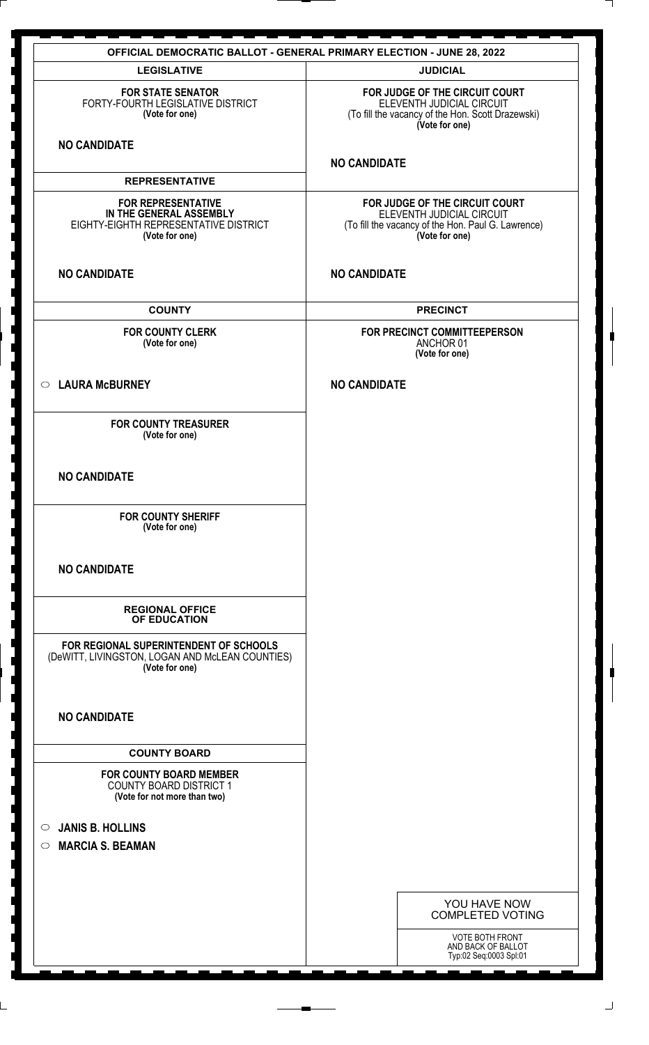|                                                                                                                         | <b>OFFICIAL DEMOCRATIC BALLOT - GENERAL PRIMARY ELECTION - JUNE 28, 2022</b>                                                        |
|-------------------------------------------------------------------------------------------------------------------------|-------------------------------------------------------------------------------------------------------------------------------------|
| <b>LEGISLATIVE</b>                                                                                                      | <b>JUDICIAL</b>                                                                                                                     |
| <b>FOR STATE SENATOR</b><br>FORTY-FOURTH LEGISLATIVE DISTRICT<br>(Vote for one)                                         | FOR JUDGE OF THE CIRCUIT COURT<br>ELEVENTH JUDICIAL CIRCUIT<br>(To fill the vacancy of the Hon. Scott Drazewski)<br>(Vote for one)  |
| <b>NO CANDIDATE</b>                                                                                                     |                                                                                                                                     |
| <b>REPRESENTATIVE</b>                                                                                                   | <b>NO CANDIDATE</b>                                                                                                                 |
|                                                                                                                         |                                                                                                                                     |
| <b>FOR REPRESENTATIVE</b><br>IN THE GENERAL ASSEMBLY<br>EIGHTY-EIGHTH REPRESENTATIVE DISTRICT<br>(Vote for one)         | FOR JUDGE OF THE CIRCUIT COURT<br>ELEVENTH JUDICIAL CIRCUIT<br>(To fill the vacancy of the Hon. Paul G. Lawrence)<br>(Vote for one) |
| <b>NO CANDIDATE</b>                                                                                                     | <b>NO CANDIDATE</b>                                                                                                                 |
| <b>COUNTY</b>                                                                                                           | <b>PRECINCT</b>                                                                                                                     |
| <b>FOR COUNTY CLERK</b><br>(Vote for one)                                                                               | FOR PRECINCT COMMITTEEPERSON<br>ANCHOR 01<br>(Vote for one)                                                                         |
| <b>LAURA McBURNEY</b><br>$\circ$                                                                                        | <b>NO CANDIDATE</b>                                                                                                                 |
| <b>FOR COUNTY TREASURER</b><br>(Vote for one)                                                                           |                                                                                                                                     |
| <b>NO CANDIDATE</b>                                                                                                     |                                                                                                                                     |
| <b>FOR COUNTY SHERIFF</b><br>(Vote for one)                                                                             |                                                                                                                                     |
| <b>NO CANDIDATE</b>                                                                                                     |                                                                                                                                     |
| <b>REGIONAL OFFICE</b><br>OF EDUCATION                                                                                  |                                                                                                                                     |
| FOR REGIONAL SUPERINTENDENT OF SCHOOLS<br>(DeWITT, LIVINGSTON, LOGAN AND McLEAN COUNTIES)<br>(Vote for one)             |                                                                                                                                     |
| <b>NO CANDIDATE</b>                                                                                                     |                                                                                                                                     |
| <b>COUNTY BOARD</b><br><b>FOR COUNTY BOARD MEMBER</b><br><b>COUNTY BOARD DISTRICT 1</b><br>(Vote for not more than two) |                                                                                                                                     |
| <b>JANIS B. HOLLINS</b>                                                                                                 |                                                                                                                                     |
| $\circ$<br><b>MARCIA S. BEAMAN</b><br>$\circ$                                                                           |                                                                                                                                     |
|                                                                                                                         |                                                                                                                                     |
|                                                                                                                         |                                                                                                                                     |
|                                                                                                                         | YOU HAVE NOW<br><b>COMPLETED VOTING</b>                                                                                             |
|                                                                                                                         | VOTE BOTH FRONT<br>AND BACK OF BALLOT<br>Typ:02 Seq:0003 Spl:01                                                                     |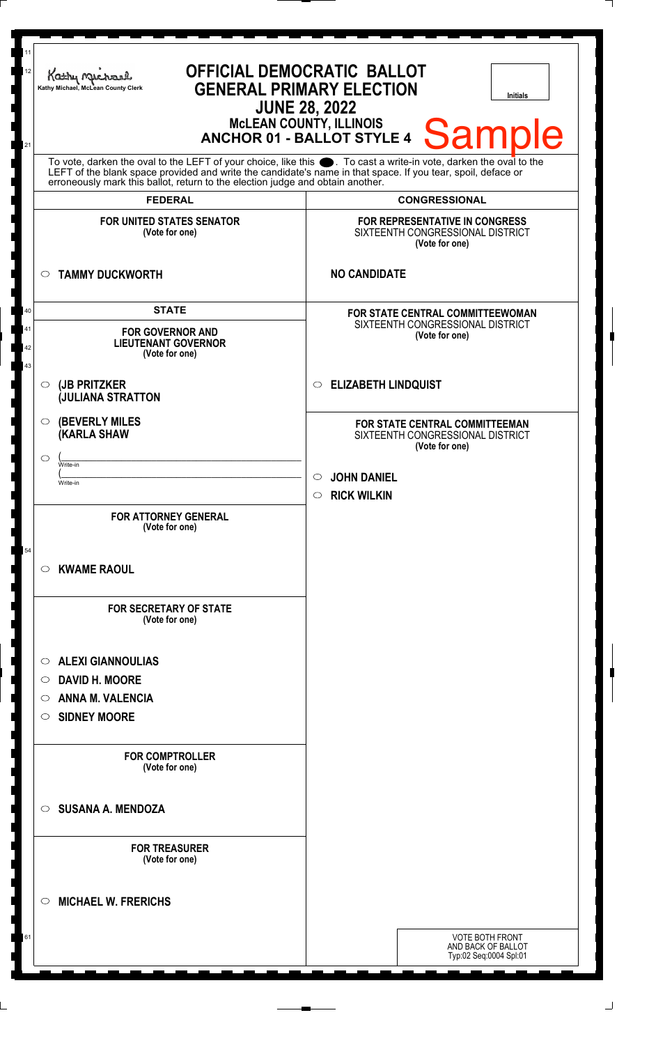| 11<br>12<br>21 | Kathy Michael<br>Kathy Michael, McLean County Clerk                                                                                                                                                                                                                                                                    | OFFICIAL DEMOCRATIC BALLOT<br><b>GENERAL PRIMARY ELECTION</b><br><b>Initials</b><br><b>JUNE 28, 2022</b><br><b>MCLEAN COUNTY, ILLINOIS</b><br><b>Sample</b><br><b>ANCHOR 01 - BALLOT STYLE 4</b> |
|----------------|------------------------------------------------------------------------------------------------------------------------------------------------------------------------------------------------------------------------------------------------------------------------------------------------------------------------|--------------------------------------------------------------------------------------------------------------------------------------------------------------------------------------------------|
|                | To vote, darken the oval to the LEFT of your choice, like this $\bullet$ . To cast a write-in vote, darken the oval to the LEFT of the blank space provided and write the candidate's name in that space. If you tear, spoil, deface<br>erroneously mark this ballot, return to the election judge and obtain another. |                                                                                                                                                                                                  |
|                | <b>FEDERAL</b>                                                                                                                                                                                                                                                                                                         | <b>CONGRESSIONAL</b>                                                                                                                                                                             |
|                | <b>FOR UNITED STATES SENATOR</b><br>(Vote for one)                                                                                                                                                                                                                                                                     | FOR REPRESENTATIVE IN CONGRESS<br>SIXTEENTH CONGRESSIONAL DISTRICT<br>(Vote for one)                                                                                                             |
|                | <b>TAMMY DUCKWORTH</b><br>$\circ$                                                                                                                                                                                                                                                                                      | <b>NO CANDIDATE</b>                                                                                                                                                                              |
| 40             | <b>STATE</b>                                                                                                                                                                                                                                                                                                           | <b>FOR STATE CENTRAL COMMITTEEWOMAN</b>                                                                                                                                                          |
| 41<br>42<br>43 | <b>FOR GOVERNOR AND</b><br><b>LIEUTENANT GOVERNOR</b><br>(Vote for one)                                                                                                                                                                                                                                                | SIXTEENTH CONGRESSIONAL DISTRICT<br>(Vote for one)                                                                                                                                               |
|                | (JB PRITZKER<br>$\circ$<br><b>JULIANA STRATTON</b>                                                                                                                                                                                                                                                                     | <b>ELIZABETH LINDQUIST</b><br>$\circ$                                                                                                                                                            |
|                | <b>(BEVERLY MILES)</b><br>$\circ$<br><b>(KARLA SHAW</b>                                                                                                                                                                                                                                                                | FOR STATE CENTRAL COMMITTEEMAN<br>SIXTEENTH CONGRESSIONAL DISTRICT<br>(Vote for one)                                                                                                             |
|                | $\circ$<br>Write-in                                                                                                                                                                                                                                                                                                    |                                                                                                                                                                                                  |
|                | Write-in                                                                                                                                                                                                                                                                                                               | $\circ$<br><b>JOHN DANIEL</b>                                                                                                                                                                    |
|                |                                                                                                                                                                                                                                                                                                                        | $\circ$ RICK WILKIN                                                                                                                                                                              |
|                | <b>FOR ATTORNEY GENERAL</b><br>(Vote for one)                                                                                                                                                                                                                                                                          |                                                                                                                                                                                                  |
| 54             | <b>KWAME RAOUL</b><br>C).                                                                                                                                                                                                                                                                                              |                                                                                                                                                                                                  |
|                | <b>FOR SECRETARY OF STATE</b><br>(Vote for one)                                                                                                                                                                                                                                                                        |                                                                                                                                                                                                  |
|                | <b>ALEXI GIANNOULIAS</b><br>$\circ$                                                                                                                                                                                                                                                                                    |                                                                                                                                                                                                  |
|                | <b>DAVID H. MOORE</b><br>O.                                                                                                                                                                                                                                                                                            |                                                                                                                                                                                                  |
|                | <b>ANNA M. VALENCIA</b><br>O                                                                                                                                                                                                                                                                                           |                                                                                                                                                                                                  |
|                | <b>SIDNEY MOORE</b><br>$\circ$                                                                                                                                                                                                                                                                                         |                                                                                                                                                                                                  |
|                |                                                                                                                                                                                                                                                                                                                        |                                                                                                                                                                                                  |
|                | <b>FOR COMPTROLLER</b><br>(Vote for one)                                                                                                                                                                                                                                                                               |                                                                                                                                                                                                  |
|                | <b>SUSANA A. MENDOZA</b><br>$\circ$                                                                                                                                                                                                                                                                                    |                                                                                                                                                                                                  |
|                | <b>FOR TREASURER</b><br>(Vote for one)                                                                                                                                                                                                                                                                                 |                                                                                                                                                                                                  |
|                | <b>MICHAEL W. FRERICHS</b><br>◯                                                                                                                                                                                                                                                                                        |                                                                                                                                                                                                  |
| 61             |                                                                                                                                                                                                                                                                                                                        | <b>VOTE BOTH FRONT</b><br>AND BACK OF BALLOT<br>Typ:02 Seq:0004 Spl:01                                                                                                                           |
|                |                                                                                                                                                                                                                                                                                                                        |                                                                                                                                                                                                  |

I 

I

J